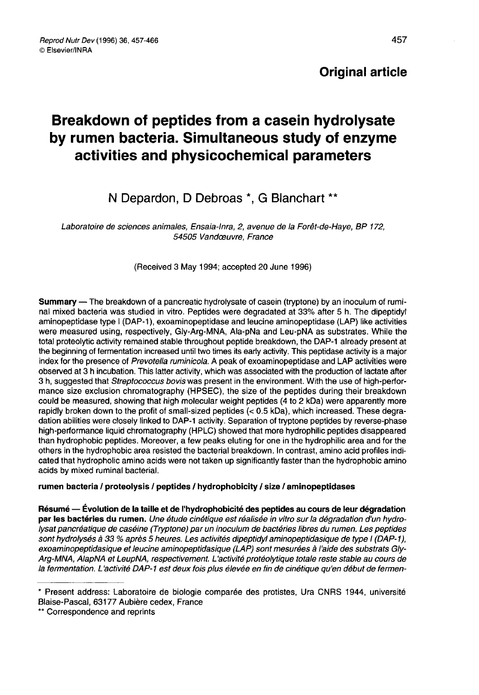# Breakdown of peptides from a casein hydrolysate by rumen bacteria. Simultaneous study of enzyme activities and physicochemical parameters

## N Depardon, D Debroas \*, G Blanchart \*\*

Laboratoire de sciences animales, Ensaia-Inra, 2, avenue de la Forêt-de-Haye, BP 172, 54505 Vandœuvre, France

(Received 3 May 1994; accepted 20 June 1996)

Summary — The breakdown of a pancreatic hydrolysate of casein (tryptone) by an inoculum of ruminal mixed bacteria was studied in vitro. Peptides were degradated at 33% after 5 h. The dipeptidyl aminopeptidase type I (DAP-1), exoaminopeptidase and leucine aminopeptidase (LAP) like activities were measured using, respectively, Gly-Arg-MNA, Ala-pNa and Leu-pNA as substrates. While the total proteolytic activity remained stable throughout peptide breakdown, the DAP-1 already present at the beginning of fermentation increased until two times its early activity. This peptidase activity is a major index for the presence of Prevotella ruminicola. A peak of exoaminopeptidase and LAP activities were observed at 3 h incubation. This latter activity, which was associated with the production of lactate after 3 h, suggested that Streptococcus bovis was present in the environment. With the use of high-performance size exclusion chromatography (HPSEC), the size of the peptides during their breakdown could be measured, showing that high molecular weight peptides (4 to 2 kDa) were apparently more rapidly broken down to the profit of small-sized peptides (< 0.5 kDa), which increased. These degradation abilities were closely linked to DAP-1 activity. Separation of tryptone peptides by reverse-phase high-performance liquid chromatography (HPLC) showed that more hydrophilic peptides disappeared than hydrophobic peptides. Moreover, a few peaks eluting for one in the hydrophilic area and for the others in the hydrophobic area resisted the bacterial breakdown. In contrast, amino acid profiles indicated that hydropholic amino acids were not taken up significantly faster than the hydrophobic amino acids by mixed ruminal bacterial.

#### rumen bacteria / proteolysis / peptides / hydrophobicity / size / aminopeptidases

Résumé — Évolution de la taille et de l'hydrophobicité des peptides au cours de leur dégradation par les bactéries du rumen. Une étude cinétique est réalisée in vitro sur la dégradation d'un hydro-<br>lysat pancréatique de caséine (Tryptone) par un inoculum de bactéries libres du rumen. Les peptides sont hydrolysés à 33 % après 5 heures. Les activités dipeptidyl aminopeptidasique de type I (DAP-1), exoaminopeptidasique et leucine aminopeptidasique (LAP) sont mesurées à l'aide des substrats Gly-Arg-MNA, AlapNA et LeupNA, respectivement. L'activité protéolytique totale reste stable au cours de la fermentation. L'activité DAP-1 est deux fois plus élevée en fin de cinétique qu'en début de fermen-

<sup>\*</sup> Present address: Laboratoire de biologie comparée des protistes, Ura CNRS 1944, université Blaise-Pascal, 63177 Aubière cedex, France \*\* Correspondence and reprints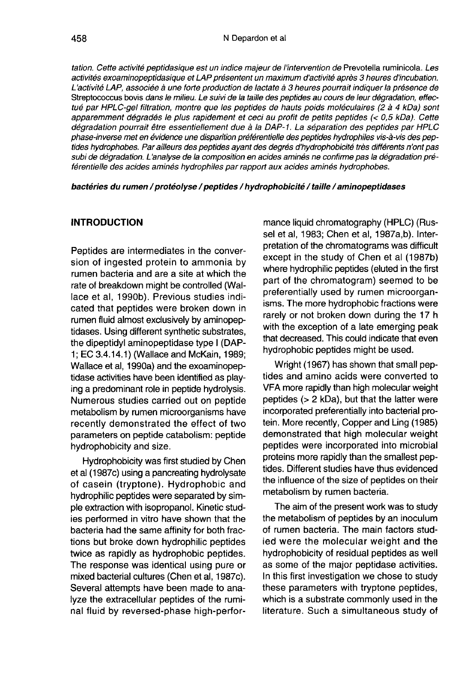tation. Cette activité peptidasique est un indice majeur de l'intervention de Prevotella ruminicola. Les activités exoaminopeptidasique et LAP présentent un maximum d'activité après 3 heures d'incubation. L'activité LAP, associée à une forte production de lactate à 3 heures pourrait indiquer la présence de Streptococcus bovis dans le milieu. Le suivi de la taille des peptides au cours de leur dégradation, effectué par HPLC-get filtration, montre que les peptides de hauts poids moléculaires (2 à 4 kDa) sont apparemment dégradés le plus rapidement et ceci au profit de petits peptides (< 0,5 kDa). Cette dégradation pourrait être essentiellement due à la DAP-1. La séparation des peptides par HPLC phase-inverse met en évidence une disparition préférentielle des peptides hydrophiles vis-à-vis des peptides hydrophobes. Par ailleurs des peptides ayant des degrés d'hydrophobicité très différents n'ont pas subi de dégradation. L'analyse de la composition en acides aminés ne confirme pas la dégradation préférentielle des acides aminés hydrophiles par rapport aux acides aminés hydrophobes.

bactéries du rumen / protéolyse / peptides / hydrophobicité / taille / aminopeptidases

## **INTRODUCTION**

Peptides are intermediates in the conversion of ingested protein to ammonia by rumen bacteria and are a site at which the rate of breakdown might be controlled (Wallace et al, 1990b). Previous studies indicated that peptides were broken down in rumen fluid almost exclusively by aminopeptidases. Using different synthetic substrates, the dipeptidyl aminopeptidase type I (DAP-1; EC 3.4.14.1) (Wallace and McKain, 1989; Wallace et al, 1990a) and the exoaminopeptidase activities have been identified as playing a predominant role in peptide hydrolysis. Numerous studies carried out on peptide metabolism by rumen microorganisms have recently demonstrated the effect of two parameters on peptide catabolism: peptide hydrophobicity and size.

Hydrophobicity was first studied by Chen et al (1987c) using a pancreating hydrolysate of casein (tryptone). Hydrophobic and hydrophilic peptides were separated by simple extraction with isopropanol. Kinetic studies performed in vitro have shown that the bacteria had the same affinity for both fractions but broke down hydrophilic peptides twice as rapidly as hydrophobic peptides. The response was identical using pure or mixed bacterial cultures (Chen et al, 1987c). Several attempts have been made to analyze the extracellular peptides of the ruminal fluid by reversed-phase high-perfor-

mance liquid chromatography (HPLC) (Russel et al, 1983; Chen et al, 1987a,b). Interpretation of the chromatograms was difficult except in the study of Chen et al (1987b) where hydrophilic peptides (eluted in the first part of the chromatogram) seemed to be preferentially used by rumen microorganisms. The more hydrophobic fractions were rarely or not broken down during the 17 h with the exception of a late emerging peak that decreased. This could indicate that even hydrophobic peptides might be used.

Wright (1967) has shown that small peptides and amino acids were converted to VFA more rapidly than high molecular weight peptides (> 2 kDa), but that the latter were incorporated preferentially into bacterial protein. More recently, Copper and Ling (1985) demonstrated that high molecular weight peptides were incorporated into microbial proteins more rapidly than the smallest peptides. Different studies have thus evidenced the influence of the size of peptides on their metabolism by rumen bacteria.

The aim of the present work was to study the metabolism of peptides by an inoculum of rumen bacteria. The main factors studied were the molecular weight and the hydrophobicity of residual peptides as well as some of the major peptidase activities. In this first investigation we chose to study these parameters with tryptone peptides, which is a substrate commonly used in the literature. Such a simultaneous study of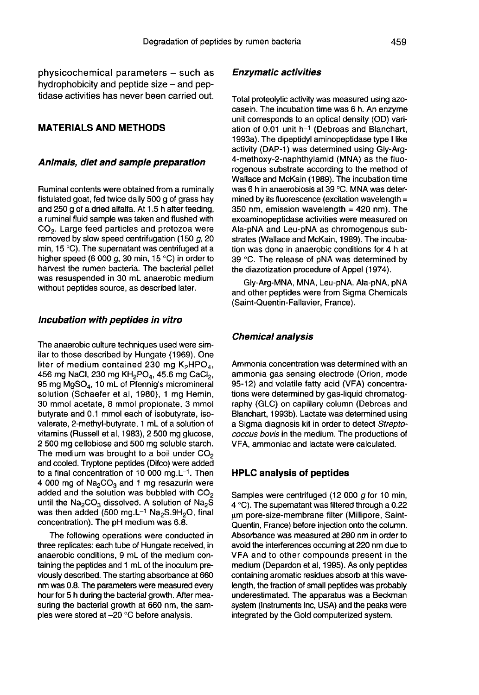physicochemical parameters - such as hydrophobicity and peptide size - and peptidase activities has never been carried out.

### MATERIALS AND METHODS

#### Animals, diet and sample preparation

Ruminal contents were obtained from a ruminally fistulated goat, fed twice daily 500 g of grass hay and 250 g of a dried alfalfa. At 1.5 h after feeding, a ruminal fluid sample was taken and flushed with<br>CO<sub>2</sub>. Large feed particles and protozoa were<br>removed by slow speed centrifugation (150.*a*. 20 removed by slow speed centrifugation (150 g, 20 min, 15 °C). The supernatant was centrifuged at a higher speed (6 000 g, 30 min, 15 °C) in order to harvest the rumen bacteria. The bacterial pellet was resuspended in 30 mL anaerobic medium without peptides source, as described later.

#### Incubation with peptides in vitro

The anaerobic culture techniques used were similar to those described by Hungate (1969). One 456 mg NaCl, 230 liter of medium contained 230 mg re techniques used w<br>bed by Hungate (196<br>ontained 230 mg K<sub>;</sub><br>mg KH<sub>2</sub>PO<sub>4</sub>, 45.6 mg<br>mL of Pfennig's micro used were sim-<br>ate (1969). One<br>0 mg K<sub>2</sub>HPO<sub>4</sub>,<br>45.6 mg CaCl<sub>2</sub>, ilar to those described by Hungate (1969). One<br>liter of medium contained 230 mg  $K_2HPO_4$ ,<br>456 mg NaCl, 230 mg  $KH_2PO_4$ , 45.6 mg CaCl<sub>2</sub>,<br>95 mg MgSO<sub>4</sub>, 10 mL of Pfennig's micromineral<br>solution (Schaefer et al, 1980), 1 m solution (Schaefer et al, 1980), 1 mg Hemin, 30 mmol acetate, 8 mmol propionate, 3 mmol butyrate and 0.1 mmol each of isobutyrate, isovalerate, 2-methyl-butyrate, 1 mL of a solution of vitamins (Russell et al, 1983), 2 500 mg glucose, 2 500 mg cellobiose and 500 mg soluble starch. The medium was brought to a boil under  $CO<sub>2</sub>$ and cooled. Tryptone peptides (Difco) were added to a final concentration of 10 000 mg. $L^{-1}$ . Then The medium was brought to a boil under  $CO_2$ <br>and cooled. Tryptone peptides (Difco) were added<br>to a final concentration of 10 000 mg.L<sup>-1</sup>. Then<br>4 000 mg of Na<sub>2</sub>CO<sub>3</sub> and 1 mg resazurin were<br>added and the solution was bub and cooled. Tryptone peptides (Difco) were added<br>to a final concentration of 10 000 mg.L<sup>-1</sup>. Then<br>4 000 mg of  $Na_2CO_3$  and 1 mg resazurin were<br>added and the solution was bubbled with  $CO_2$ <br>until the  $Na_2CO_3$  dissolved. A concentration). The pH medium was 6.8.

The following operations were conducted in three replicates: each tube of Hungate received, in anaerobic conditions, 9 mL of the medium containing the peptides and 1 mL of the inoculum previously described. The starting absorbance at 660 nm was 0.8. The parameters were measured every hour for 5 h during the bacterial growth. After measuring the bacterial growth at 660 nm, the samples were stored at-20 °C before analysis.

#### Enzymatic activities

Total proteolytic activity was measured using azocasein. The incubation time was 6 h. An enzyme unit corresponds to an optical density (OD) variation of 0.01 unit h-1 (Debroas and Blanchart, 1993a). The dipeptidyl aminopeptidase type I like activity (DAP-1) was determined using Gly-Arg-4-methoxy-2-naphthylamid (MNA) as the fluorogenous substrate according to the method of Wallace and McKain (1989). The incubation time was 6 h in anaerobiosis at 39 °C. MNA was determined by its fluorescence (excitation wavelength = 350 nm, emission wavelength  $=$  420 nm). The exoaminopeptidase activities were measured on Ala-pNA and Leu-pNA as chromogenous substrates (Wallace and McKain, 1989). The incubation was done in anaerobic conditions for 4 h at 39 °C. The release of pNA was determined by the diazotization procedure of Appel (1974).

Gly-Arg-MNA, MNA, Leu-pNA, Ala-pNA, pNA and other peptides were from Sigma Chemicals (Saint-Quentin-Fallavier, France).

#### Chemical analysis

Ammonia concentration was determined with an ammonia gas sensing electrode (Orion, mode 95-12) and volatile fatty acid (VFA) concentrations were determined by gas-liquid chromatography (GLC) on capillary column (Debroas and Blanchart, 1993b). Lactate was determined using a Sigma diagnosis kit in order to detect Streptococcus bovis in the medium. The productions of VFA, ammoniac and lactate were calculated.

#### HPLC analysis of peptides

Samples were centrifuged (12 000 g for 10 min, 4 °C). The supernatant was filtered through a 0.22 um pore-size-membrane filter (Millipore, Saint-Quentin, France) before injection onto the column. Absorbance was measured at 280 nm in order to avoid the interferences occurring at 220 nm due to VFA and to other compounds present in the medium (Depardon et al, 1995). As only peptides containing aromatic residues absorb at this wavelength, the fraction of small peptides was probably underestimated. The apparatus was a Beckman system (Instruments Inc, USA) and the peaks were integrated by the Gold computerized system.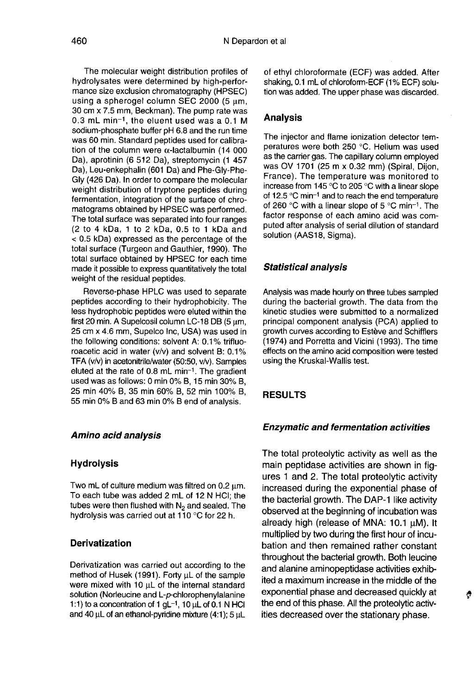The molecular weight distribution profiles of<br>hydrolysates were determined by high-performance size exclusion chromatography (HPSEC)<br>using a spherogel column SEC 2000 (5 um. 30 cm x 7.5 mm, Beckman). The pump rate was 0.3 mL min-!, the eluent used was a 0.1 M sodium-phosphate buffer pH 6.8 and the run time was 60 min. Standard peptides used for calibration of the column were  $\alpha$ -lactalbumin (14 000 Da), aprotinin (6 512 Da), streptomycin (1 457 Da), Leu-enkephalin (601 Da) and Phe-Gly-Phe-Gly (426 Da). In order to compare the molecular weight distribution of tryptone peptides during fermentation, integration of the surface of chromatograms obtained by HPSEC was performed. The total surface was separated into four ranges (2 to 4 kDa, 1 to 2 kDa, 0.5 to 1 kDa and < 0.5 kDa) expressed as the percentage of the total surface (Turgeon and Gauthier, 1990). The total surface obtained by HPSEC for each time made it possible to express quantitatively the total weight of the residual peptides.

Reverse-phase HPLC was used to separate peptides according to their hydrophobicity. The less hydrophobic peptides were eluted within the first 20 min. A Supelcosil column LC-18 DB (5  $\mu$ m, 25 cm x 4.6 mm, Supelco Inc, USA) was used in the following conditions: solvent A: 0.1% trifluoroacetic acid in water (v/v) and solvent B: 0.1%<br>TFA (v/v) in acetonitrile/water (50:50, v/v). Samples<br>eluted at the rate of 0.8 mL min<sup>-1</sup>. The gradient<br>used was as follows: 0 min 0% B, 15 min 20% B TFA (v/v) in acetonitrile/water (50:50, v/v). Samples eluted at the rate of 0.8 mL min<sup>-1</sup>. The gradient used was as follows: 0 min 0% B, 15 min 30% B, 25 min 40% B, 35 min 60% B, 52 min 100% B, 55 min 0% B and 63 min 0% B end of analysis.

#### Amino acid analysis

#### **Hydrolysis**

Two mL of culture medium was filtred on 0.2 um. To each tube was added 2 mL of 12 N HCI; the tubes were then flushed with  $N_2$  and sealed. The hydrolysis was carried out at 110 °C for 22 h.

## **Derivatization**

Derivatization was carried out according to the method of Husek (1991). Forty uL of the sample were mixed with 10  $\mu$ L of the internal standard solution (Norleucine and L-p-chlorophenylalanine 1:1) to a concentration of 1  $gL^{-1}$ , 10  $µL$  of 0.1 N HCI and 40  $\mu$ L of an ethanol-pyridine mixture (4:1); 5  $\mu$ L of ethyl chloroformate (ECF) was added. After shaking, 0.1 mL of chloroform-ECF (1% ECF) solution was added. The upper phase was discarded.

## Analysis

The injector and flame ionization detector temperatures were both 250 °C. Helium was used<br>as the carrier gas. The capillary column employed was OV 1701 (25 m x 0.32 mm) (Spiral, Dijon, France). The temperature was monitored to increase from 145 °C to 205 °C with a linear slope<br>of 12.5 °C min<sup>-1</sup> and to reach the end temperature<br>of 260 °C with a linear slope of 5 °C min<sup>-1</sup>. The<br>factor response of each amino acid was comof 12.5 °C min<sup>-1</sup> and to reach the end temperature<br>of 260 °C with a linear slope of 5 °C min<sup>-1</sup>. The factor response of each amino acid was computed after analysis of serial dilution of standard solution (AAS18, Sigma).

#### Statistical analysis

Analysis was made hourly on three tubes sampled during the bacterial growth. The data from the kinetic studies were submitted to a normalized principal component analysis (PCA) applied to growth curves according to Estève and Schifflers (1974) and Porretta and Vicini (1993). The time effects on the amino acid composition were tested using the Kruskal-Wallis test.

#### RESULTS

#### Enzymatic and fermentation activities

The total proteolytic activity as well as the main peptidase activities are shown in fig ures 1 and 2. The total proteolytic activity increased during the exponential phase of the bacterial growth. The DAP-1 like activity observed at the beginning of incubation was already high (release of MNA:  $10.1 \mu M$ ). It multiplied by two during the first hour of incubation and then remained rather constant throughout the bacterial growth. Both leucine and alanine aminopeptidase activities exhibited a maximum increase in the middle of the exponential phase and decreased quickly at the end of this phase. All the proteolytic activities decreased over the stationary phase.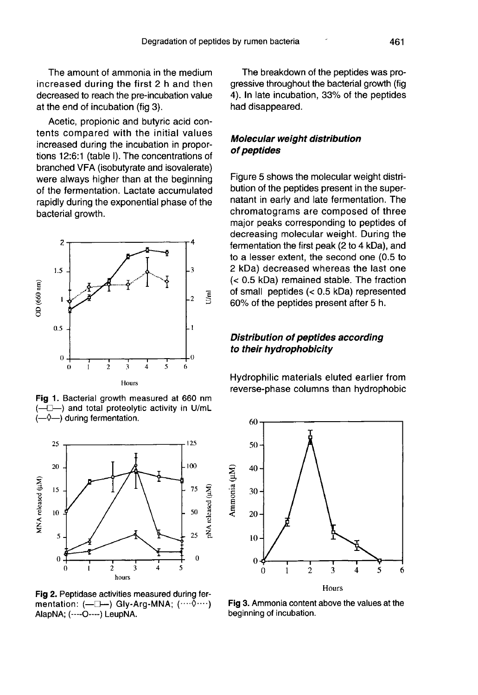Acetic, propionic and butyric acid contents compared with the initial values increased during the incubation in proportions 12:6:1 (table I). The concentrations of branched VFA (isobutyrate and isovalerate) were always higher than at the beginning of the fermentation. Lactate accumulated rapidly during the exponential phase of the bacterial growth.



Fig 1. Bacterial growth measured at 660 nm  $-\Diamond$  -) during fermentation.



Fig 2. Peptidase activities measured during fermentation: (-D-) Gly-Arg-MNA; (.......) AlapNA; (----O----) LeupNA.

The breakdown of the peptides was progressive throughout the bacterial growth (fig 4). In late incubation, 33% of the peptides had disappeared.

## Molecular weight distribution of peptides

Figure 5 shows the molecular weight distribution of the peptides present in the supernatant in early and late fermentation. The chromatograms are composed of three major peaks corresponding to peptides of decreasing molecular weight. During the fermentation the first peak (2 to 4 kDa), and to a lesser extent, the second one (0.5 to 2 kDa) decreased whereas the last one (< 0.5 kDa) remained stable. The fraction of small peptides (< 0.5 kDa) represented 60% of the peptides present after 5 h.

## Distribution of peptides according to their hydrophobicity

Hydrophilic materials eluted earlier from reverse-phase columns than hydrophobic



Ammonia (µM)

Fig 3. Ammonia content above the values at the beginning of incubation.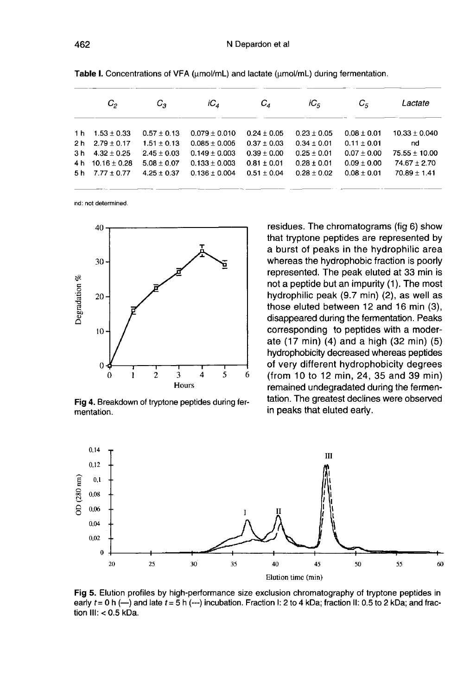|     | $C_{2}$          | c,              | iC <sub>a</sub>   | $C_{\scriptscriptstyle A}$ | iC <sub>5</sub> | $C_{\bar{r}}$   | Lactate           |
|-----|------------------|-----------------|-------------------|----------------------------|-----------------|-----------------|-------------------|
| 1 h | $1.53 \pm 0.33$  | $0.57 \pm 0.13$ | $0.079 \pm 0.010$ | $0.24 \pm 0.05$            | $0.23 \pm 0.05$ | $0.08 \pm 0.01$ | $10.33 \pm 0.040$ |
| 2 h | $2.79 \pm 0.17$  | $1.51 + 0.13$   | $0.085 \pm 0.005$ | $0.37 \pm 0.03$            | $0.34 \pm 0.01$ | $0.11 \pm 0.01$ | nd                |
| 3 h | $4.32 \pm 0.25$  | $2.45 \pm 0.03$ | $0.149 \pm 0.003$ | $0.39 + 0.00$              | $0.25 \pm 0.01$ | $0.07 \pm 0.00$ | $75.55 + 10.00$   |
| 4 h | $10.16 \pm 0.28$ | $5.08 \pm 0.07$ | $0.133 \pm 0.003$ | $0.81 \pm 0.01$            | $0.28 \pm 0.01$ | $0.09 \pm 0.00$ | $74.67 \pm 2.70$  |
| 5 h | $7.77 \pm 0.77$  | $4.25 \pm 0.37$ | $0.136 \pm 0.004$ | $0.51 \pm 0.04$            | $0.28 \pm 0.02$ | $0.08 \pm 0.01$ | $70.89 \pm 1.41$  |

Table I. Concentrations of VFA (µmol/mL) and lactate (µmol/mL) during fermentation.

nd: not determined.



Fig 4. Breakdown of tryptone peptides during fermentation.

residues. The chromatograms (fig 6) show that tryptone peptides are represented by a burst of peaks in the hydrophilic area whereas the hydrophobic fraction is poorly represented. The peak eluted at 33 min is not a peptide but an impurity  $(1)$ . The most hydrophilic peak (9.7 min) (2), as well as those eluted between 12 and 16 min (3), disappeared during the fermentation. Peaks corresponding to peptides with a moderate (17 min) (4) and a high (32 min) (5) hydrophobicity decreased whereas peptides of very different hydrophobicity degrees (from 10 to 12 min, 24, 35 and 39 min) remained undegradated during the fermentation. The greatest declines were observed in peaks that eluted early.



Fig 5. Elution profiles by high-performance size exclusion chromatography of tryptone peptides in early  $t = 0$  h (--) and late  $t = 5$  h (---) incubation. Fraction I: 2 to 4 kDa; fraction II: 0.5 to 2 kDa; and fraction  $III: < 0.5$  kDa.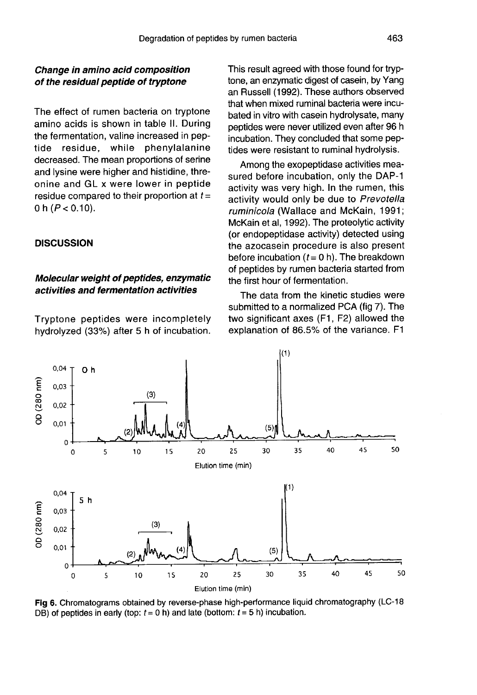## Change in amino acid composition of the residual peptide of tryptone

The effect of rumen bacteria on tryptone amino acids is shown in table II. During the fermentation, valine increased in peptide residue, while phenylalanine decreased. The mean proportions of serine and lysine were higher and histidine, threonine and GL x were lower in peptide residue compared to their proportion at  $t=$ 0 h  $(P < 0.10)$ .

### **DISCUSSION**

## Molecular weight of peptides, enzymatic activities and fermentation activities

Tryptone peptides were incompletely hydrolyzed (33%) after 5 h of incubation.

This result agreed with those found for tryptone, an enzymatic digest of casein, by Yang an Russell (1992). These authors observed that when mixed ruminal bacteria were incubated in vitro with casein hydrolysate, many peptides were never utilized even after 96 h incubation. They concluded that some peptides were resistant to ruminal hydrolysis.

Among the exopeptidase activities measured before incubation, only the DAP-1 activity was very high. In the rumen, this activity would only be due to Prevotella ruminicola (Wallace and McKain, 1991; McKain et al, 1992). The proteolytic activity (or endopeptidase activity) detected using the azocasein procedure is also present before incubation  $(t = 0 h)$ . The breakdown of peptides by rumen bacteria started from the first hour of fermentation.

The data from the kinetic studies were submitted to a normalized PCA (fig 7). The two significant axes (F1, F2) allowed the explanation of 86.5% of the variance. F1



Fig 6. Chromatograms obtained by reverse-phase high-performance liquid chromatography (LC-18 DB) of peptides in early (top:  $t = 0$  h) and late (bottom:  $t = 5$  h) incubation.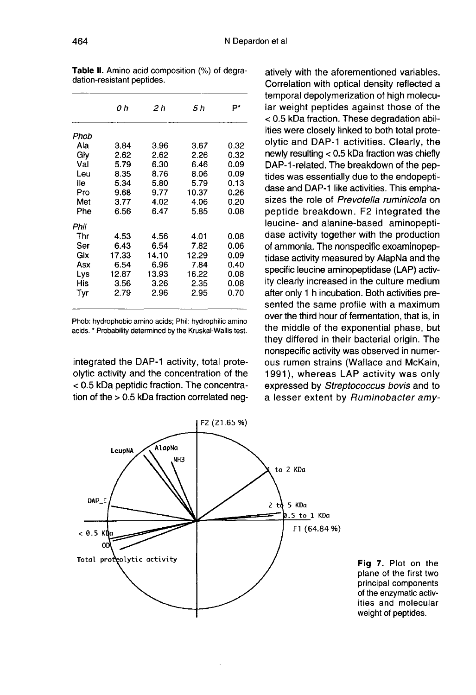|      | 0 h   | 2 h   | 5 h   | P*   |
|------|-------|-------|-------|------|
| Phob |       |       |       |      |
| Ala  | 3.84  | 3.96  | 3.67  | 0.32 |
| Glv  | 2.62  | 2.62  | 2.26  | 0.32 |
| Val  | 5.79  | 6.30  | 6.46  | 0.09 |
| Leu  | 8.35  | 8.76  | 8.06  | 0.09 |
| lle  | 5.34  | 5.80  | 5.79  | 0.13 |
| Pro  | 9.68  | 9.77  | 10.37 | 0.26 |
| Met  | 3.77  | 4.02  | 4.06  | 0.20 |
| Phe  | 6.56  | 6.47  | 5.85  | 0.08 |
| Phil |       |       |       |      |
| Thr  | 4.53  | 4.56  | 4.01  | 0.08 |
| Ser  | 6.43  | 6.54  | 7.82  | 0.06 |
| Glx  | 17.33 | 14.10 | 12.29 | 0.09 |
| Asx  | 6.54  | 6.96  | 7.84  | 0.40 |
| Lys  | 12.87 | 13.93 | 16.22 | 0.08 |
| His  | 3.56  | 3.26  | 2.35  | 0.08 |
| Tyr  | 2.79  | 2.96  | 2.95  | 0.70 |
|      |       |       |       |      |

Table II. Amino acid composition (%) of degradation-resistant peptides.

Phob: hydrophobic amino acids; Phil: hydrophilic amino acids. \* Probability determined by the Kruskal-Wallis test.

integrated the DAP-1 activity, total proteolytic activity and the concentration of the < 0.5 kDa peptidic fraction. The concentration of the > 0.5 kDa fraction correlated neg-

atively with the aforementioned variables. Correlation with optical density reflected a temporal depolymerization of high molecular weight peptides against those of the < 0.5 kDa fraction. These degradation abilities were closely linked to both total proteolytic and DAP-1 activities. Clearly, the newly resulting < 0.5 kDa fraction was chiefly DAP-1-related. The breakdown of the peptides was essentially due to the endopeptidase and DAP-1 like activities. This emphasizes the role of Prevotella ruminicola on peptide breakdown. F2 integrated the leucine- and alanine-based aminopeptidase activity together with the production of ammonia. The nonspecific exoaminopeptidase activity measured by AlapNa and the specific leucine aminopeptidase (LAP) activity clearly increased in the culture medium after only 1 h incubation. Both activities presented the same profile with a maximum over the third hour of fermentation, that is, in the middle of the exponential phase, but they differed in their bacterial origin. The nonspecific activity was observed in numerous rumen strains (Wallace and McKain, 1991), whereas LAP activity was only expressed by Streptococcus bovis and to a lesser extent by Ruminobacter amy-



Fig 7. Plot on the plane of the first two principal components of the enzymatic activities and molecular weight of peptides.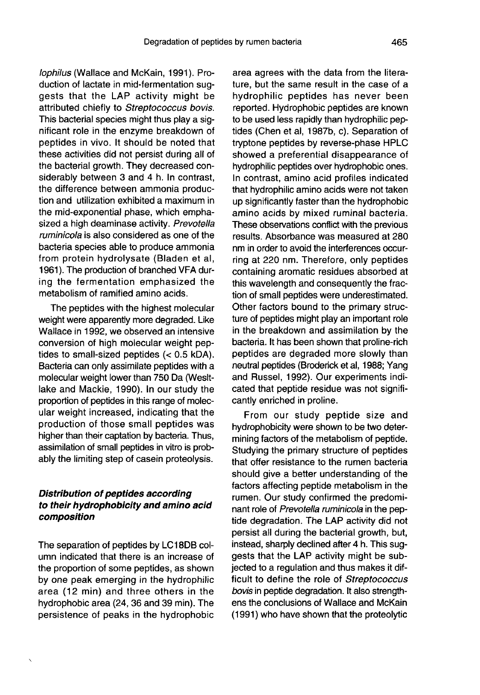lophilus (Wallace and McKain, 1991). Production of lactate in mid-fermentation suggests that the LAP activity might be attributed chiefly to Streptococcus bovis. This bacterial species might thus play a significant role in the enzyme breakdown of peptides in vivo. It should be noted that these activities did not persist during all of the bacterial growth. They decreased considerably between 3 and 4 h. In contrast, the difference between ammonia production and utilization exhibited a maximum in the mid-exponential phase, which emphasized a high deaminase activity. Prevotella ruminicola is also considered as one of the bacteria species able to produce ammonia from protein hydrolysate (Bladen et al, 1961). The production of branched VFA during the fermentation emphasized the metabolism of ramified amino acids.

The peptides with the highest molecular weight were apparently more degraded. Like Wallace in 1992, we observed an intensive conversion of high molecular weight peptides to small-sized peptides (< 0.5 kDA). Bacteria can only assimilate peptides with a molecular weight lower than 750 Da (Wesltlake and Mackie, 1990). In our study the proportion of peptides in this range of molecular weight increased, indicating that the production of those small peptides was higher than their captation by bacteria. Thus, assimilation of small peptides in vitro is probably the limiting step of casein proteolysis.

## Distribution of peptides according to their hydrophobicity and amino acid composition

The separation of peptides by LC18DB column indicated that there is an increase of the proportion of some peptides, as shown by one peak emerging in the hydrophilic area (12 min) and three others in the hydrophobic area (24, 36 and 39 min). The persistence of peaks in the hydrophobic

area agrees with the data from the literature, but the same result in the case of a hydrophilic peptides has never been reported. Hydrophobic peptides are known to be used less rapidly than hydrophilic peptides (Chen et al, 1987b, c). Separation of tryptone peptides by reverse-phase HPLC showed a preferential disappearance of hydrophilic peptides over hydrophobic ones. In contrast, amino acid profiles indicated that hydrophilic amino acids were not taken up significantly faster than the hydrophobic amino acids by mixed ruminal bacteria. These observations conflict with the previous results. Absorbance was measured at 280 nm in order to avoid the interferences occurring at 220 nm. Therefore, only peptides containing aromatic residues absorbed at this wavelength and consequently the fraction of small peptides were underestimated. Other factors bound to the primary structure of peptides might play an important role in the breakdown and assimilation by the bacteria. It has been shown that proline-rich peptides are degraded more slowly than neutral peptides (Broderick et al, 1988; Yang and Russel, 1992). Our experiments indicated that peptide residue was not significantly enriched in proline.

From our study peptide size and hydrophobicity were shown to be two determining factors of the metabolism of peptide. Studying the primary structure of peptides that offer resistance to the rumen bacteria should give a better understanding of the factors affecting peptide metabolism in the rumen. Our study confirmed the predominant role of Prevotella ruminicola in the peptide degradation. The LAP activity did not persist all during the bacterial growth, but, instead, sharply declined after 4 h. This suggests that the LAP activity might be subjected to a regulation and thus makes it difficult to define the role of Streptococcus bovis in peptide degradation. It also strength ens the conclusions of Wallace and McKain (1991) who have shown that the proteolytic